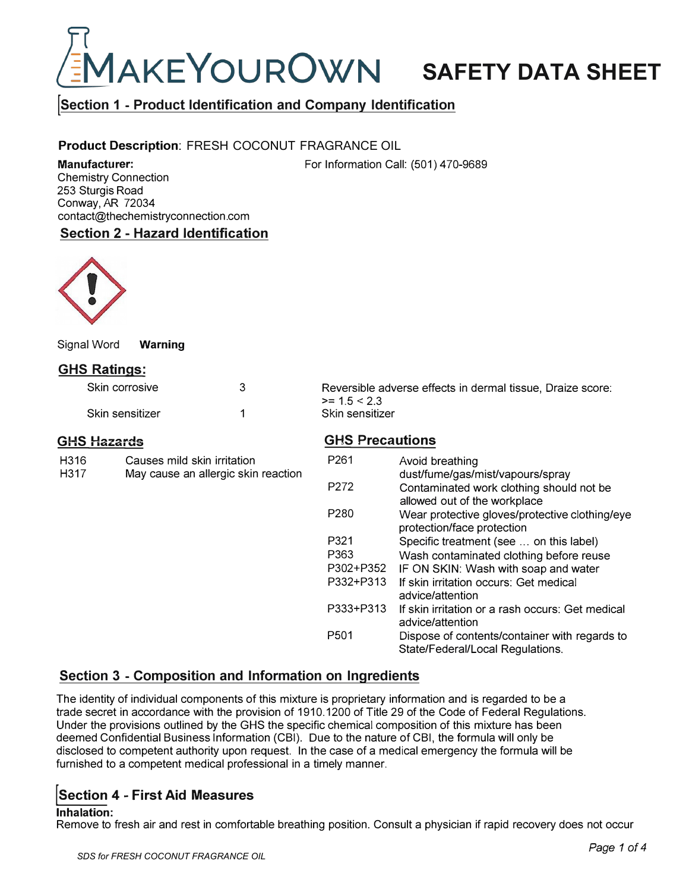

# **!Section 1 - Product Identification and Company Identification**

# **Product Description:** FRESH COCONUT FRAGRANCE OIL

**Manufacturer:**  Chemistry Connection 253 Sturgis Road Conway, AR 72034 contact@thechemistryconnection.com For Information Call: (501) 470-9689

# **Section 2 - Hazard Identification**



Signal Word **Warning** 

# **GHS Ratings:**

| Skin corrosive  |  |
|-----------------|--|
| Skin sensitizer |  |

Reversible adverse effects in dermal tissue, Draize score:  $>= 1.5 < 2.3$ Skin sensitizer

## **GHS Hazards**

| H316 | Causes mild skin irritation         |
|------|-------------------------------------|
| H317 | May cause an allergic skin reaction |

# **GHS Precautions**

| P <sub>261</sub> | Avoid breathing<br>dust/fume/gas/mist/vapours/spray                               |
|------------------|-----------------------------------------------------------------------------------|
| P <sub>272</sub> | Contaminated work clothing should not be<br>allowed out of the workplace          |
| P <sub>280</sub> | Wear protective gloves/protective clothing/eye<br>protection/face protection      |
| P321             | Specific treatment (see  on this label)                                           |
| P363             | Wash contaminated clothing before reuse                                           |
| P302+P352        | IF ON SKIN: Wash with soap and water                                              |
| P332+P313        | If skin irritation occurs: Get medical<br>advice/attention                        |
| P333+P313        | If skin irritation or a rash occurs: Get medical<br>advice/attention              |
| P <sub>501</sub> | Dispose of contents/container with regards to<br>State/Federal/Local Regulations. |

# **Section 3 - Composition and Information on Ingredients**

The identity of individual components of this mixture is proprietary information and is regarded to be a trade secret in accordance with the provision of 1910.1200 of Title 29 of the Code of Federal Regulations. Under the provisions outlined by the GHS the specific chemical composition of this mixture has been deemed Confidential Business Information (CBI). Due to the nature of CBI, the formula will only be disclosed to competent authority upon request. In the case of a medical emergency the formula will be furnished to a competent medical professional in a timely manner.

# **!section 4 - First Aid Measures**

#### **Inhalation:**

Remove to fresh air and rest in comfortable breathing position. Consult a physician if rapid recovery does not occur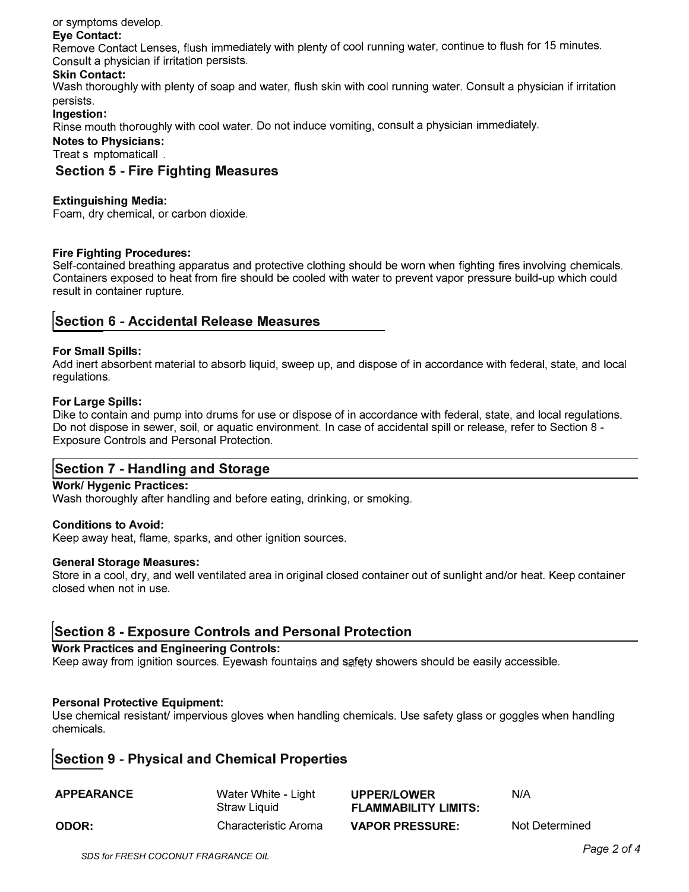# or symptoms develop.

#### **Eye Contact:**

Remove Contact Lenses, flush immediately with plenty of cool running water, continue to flush for 15 minutes. Consult a physician if irritation persists.

## **Skin Contact:**

Wash thoroughly with plenty of soap and water, flush skin with cool running water. Consult a physician if irritation persists.

## **Ingestion:**

Rinse mouth thoroughly with cool water. Do not induce vomiting, consult a physician immediately.

#### **Notes to Physicians:**

Treat s mptomaticall .

# **Section 5 - Fire Fighting Measures**

## **Extinguishing Media:**

Foam, dry chemical, or carbon dioxide.

#### **Fire Fighting Procedures:**

Self-contained breathing apparatus and protective clothing should be worn when fighting fires involving chemicals. Containers exposed to heat from fire should be cooled with water to prevent vapor pressure build-up which could result in container rupture.

# **!Section 6 - Accidental Release Measures**

#### **For Small Spills:**

Add inert absorbent material to absorb liquid, sweep up, and dispose of in accordance with federal, state, and local regulations.

#### **For Large Spills:**

Dike to contain and pump into drums for use or dispose of in accordance with federal, state, and local regulations. Do not dispose in sewer, soil, or aquatic environment. In case of accidental spill or release, refer to Section 8 - Exposure Controls and Personal Protection.

# **!section 7 - Handling and Storage**

#### **Work/ Hygenic Practices:**

Wash thoroughly after handling and before eating, drinking, or smoking.

#### **Conditions to Avoid:**

Keep away heat, flame, sparks, and other ignition sources.

#### **General Storage Measures:**

Store in a cool, dry, and well ventilated area in original closed container out of sunlight and/or heat. Keep container closed when not in use.

# **!Section 8 - Exposure Controls and Personal Protection**

#### **Work Practices and Engineering Controls:**

Keep away from ignition sources. Eyewash fountains and safety showers should be easily accessible.

#### **Personal Protective Equipment:**

Use chemical resistant/ impervious gloves when handling chemicals. Use safety glass or goggles when handling chemicals.

# **!section 9 - Physical and Chemical Properties**

| <b>APPEARANCE</b> | Water White - Light<br>Straw Liquid | <b>UPPER/LOWER</b><br><b>FLAMMABILITY LIMITS:</b> | N/A            |
|-------------------|-------------------------------------|---------------------------------------------------|----------------|
| ODOR:             | Characteristic Aroma                | <b>VAPOR PRESSURE:</b>                            | Not Determined |

*Page 2 of4 SDS for FRESH COCONUT FRAGRANCE OIL*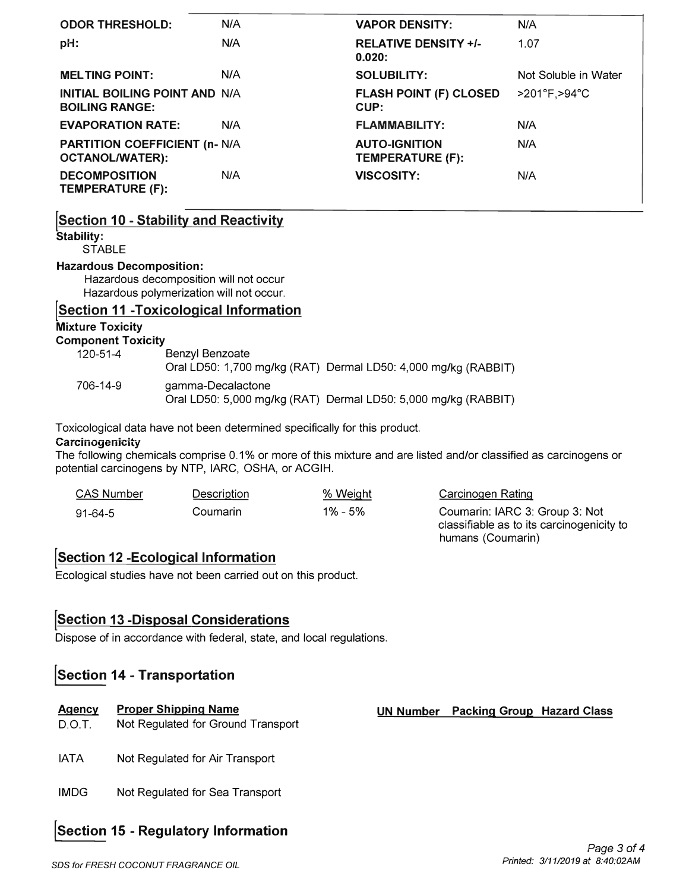| <b>ODOR THRESHOLD:</b>                                         | N/A | <b>VAPOR DENSITY:</b>                    | N/A                  |
|----------------------------------------------------------------|-----|------------------------------------------|----------------------|
| pH:                                                            | N/A | <b>RELATIVE DENSITY +/-</b><br>0.020:    | 1.07                 |
| <b>MELTING POINT:</b>                                          | N/A | <b>SOLUBILITY:</b>                       | Not Soluble in Water |
| <b>INITIAL BOILING POINT AND N/A</b><br><b>BOILING RANGE:</b>  |     | <b>FLASH POINT (F) CLOSED</b><br>CUP:    | >201°F, >94°C        |
| <b>EVAPORATION RATE:</b>                                       | N/A | <b>FLAMMABILITY:</b>                     | N/A                  |
| <b>PARTITION COEFFICIENT (n- N/A</b><br><b>OCTANOL/WATER):</b> |     | <b>AUTO-IGNITION</b><br>TEMPERATURE (F): | N/A                  |
| <b>DECOMPOSITION</b><br>TEMPERATURE (F):                       | N/A | <b>VISCOSITY:</b>                        | N/A                  |

# **!Section 10 - Stability and Reactivity**

**Stability:** 

**STABLE** 

# **Hazardous Decomposition:**

Hazardous decomposition will not occur Hazardous polymerization will not occur.

# **!Section 11 -Toxicological Information**

**Mixture Toxicity** 

**Component Toxicity** 

| 120-51-4 | Benzyl Benzoate<br>Oral LD50: 1,700 mg/kg (RAT) Dermal LD50: 4,000 mg/kg (RABBIT)   |
|----------|-------------------------------------------------------------------------------------|
| 706-14-9 | gamma-Decalactone<br>Oral LD50: 5,000 mg/kg (RAT) Dermal LD50: 5,000 mg/kg (RABBIT) |

Toxicological data have not been determined specifically for this product.

#### **Carcinogenicity**

The following chemicals comprise 0.1% or more of this mixture and are listed and/or classified as carcinogens or potential carcinogens by NTP, IARC, OSHA, or ACGIH.

| <b>CAS Number</b> | Description | % Weight | Carcinogen Rating                                                           |
|-------------------|-------------|----------|-----------------------------------------------------------------------------|
| 91-64-5           | Coumarin    | 1% - 5%  | Coumarin: IARC 3: Group 3: Not<br>classifiable as to its carcinogenicity to |

# **!Section 12 -Ecological Information**

Ecological studies have not been carried out on this product.

# **!Section 13 -Disposal Considerations**

Dispose of in accordance with federal, state, and local regulations.

# **!section 14 - Transportation**

#### **Agency Proper Shipping Name**

- D.O.T. Not Regulated for Ground Transport
- IATA Not Regulated for Air Transport
- IMDG Not Regulated for Sea Transport

# **!section 15 - Regulatory Information**

**UN Number Packing Group Hazard Class** 

humans (Coumarin)